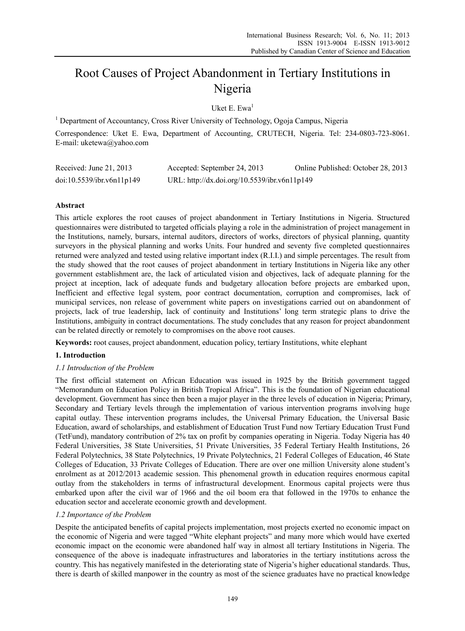# Root Causes of Project Abandonment in Tertiary Institutions in Nigeria

Uket E. Ewa $<sup>1</sup>$ </sup>

<sup>1</sup> Department of Accountancy, Cross River University of Technology, Ogoja Campus, Nigeria

Correspondence: Uket E. Ewa, Department of Accounting, CRUTECH, Nigeria. Tel: 234-0803-723-8061. E-mail: uketewa@yahoo.com

| Received: June 21, 2013   | Accepted: September 24, 2013                 | Online Published: October 28, 2013 |
|---------------------------|----------------------------------------------|------------------------------------|
| doi:10.5539/ibr.v6n11p149 | URL: http://dx.doi.org/10.5539/ibr.v6n11p149 |                                    |

# **Abstract**

This article explores the root causes of project abandonment in Tertiary Institutions in Nigeria. Structured questionnaires were distributed to targeted officials playing a role in the administration of project management in the Institutions, namely, bursars, internal auditors, directors of works, directors of physical planning, quantity surveyors in the physical planning and works Units. Four hundred and seventy five completed questionnaires returned were analyzed and tested using relative important index (R.I.I.) and simple percentages. The result from the study showed that the root causes of project abandonment in tertiary Institutions in Nigeria like any other government establishment are, the lack of articulated vision and objectives, lack of adequate planning for the project at inception, lack of adequate funds and budgetary allocation before projects are embarked upon, Inefficient and effective legal system, poor contract documentation, corruption and compromises, lack of municipal services, non release of government white papers on investigations carried out on abandonment of projects, lack of true leadership, lack of continuity and Institutions' long term strategic plans to drive the Institutions, ambiguity in contract documentations. The study concludes that any reason for project abandonment can be related directly or remotely to compromises on the above root causes.

**Keywords:** root causes, project abandonment, education policy, tertiary Institutions, white elephant

# **1. Introduction**

# *1.1 Introduction of the Problem*

The first official statement on African Education was issued in 1925 by the British government tagged "Memorandum on Education Policy in British Tropical Africa". This is the foundation of Nigerian educational development. Government has since then been a major player in the three levels of education in Nigeria; Primary, Secondary and Tertiary levels through the implementation of various intervention programs involving huge capital outlay. These intervention programs includes, the Universal Primary Education, the Universal Basic Education, award of scholarships, and establishment of Education Trust Fund now Tertiary Education Trust Fund (TetFund), mandatory contribution of 2% tax on profit by companies operating in Nigeria. Today Nigeria has 40 Federal Universities, 38 State Universities, 51 Private Universities, 35 Federal Tertiary Health Institutions, 26 Federal Polytechnics, 38 State Polytechnics, 19 Private Polytechnics, 21 Federal Colleges of Education, 46 State Colleges of Education, 33 Private Colleges of Education. There are over one million University alone student's enrolment as at 2012/2013 academic session. This phenomenal growth in education requires enormous capital outlay from the stakeholders in terms of infrastructural development. Enormous capital projects were thus embarked upon after the civil war of 1966 and the oil boom era that followed in the 1970s to enhance the education sector and accelerate economic growth and development.

# *1.2 Importance of the Problem*

Despite the anticipated benefits of capital projects implementation, most projects exerted no economic impact on the economic of Nigeria and were tagged "White elephant projects" and many more which would have exerted economic impact on the economic were abandoned half way in almost all tertiary Institutions in Nigeria. The consequence of the above is inadequate infrastructures and laboratories in the tertiary institutions across the country. This has negatively manifested in the deteriorating state of Nigeria's higher educational standards. Thus, there is dearth of skilled manpower in the country as most of the science graduates have no practical knowledge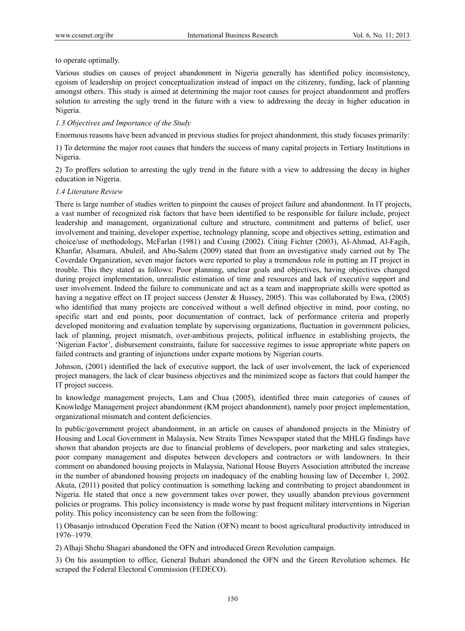#### to operate optimally.

Various studies on causes of project abandonment in Nigeria generally has identified policy inconsistency, egoism of leadership on project conceptualization instead of impact on the citizenry, funding, lack of planning amongst others. This study is aimed at determining the major root causes for project abandonment and proffers solution to arresting the ugly trend in the future with a view to addressing the decay in higher education in Nigeria.

## *1.3 Objectives and Importance of the Study*

Enormous reasons have been advanced in previous studies for project abandonment, this study focuses primarily:

1) To determine the major root causes that hinders the success of many capital projects in Tertiary Institutions in Nigeria.

2) To proffers solution to arresting the ugly trend in the future with a view to addressing the decay in higher education in Nigeria.

## *1.4 Literature Review*

There is large number of studies written to pinpoint the causes of project failure and abandonment. In IT projects, a vast number of recognized risk factors that have been identified to be responsible for failure include, project leadership and management, organizational culture and structure, commitment and patterns of belief, user involvement and training, developer expertise, technology planning, scope and objectives setting, estimation and choice/use of methodology, McFarlan (1981) and Cusing (2002). Citing Fichter (2003), Al-Ahmad, Al-Fagih, Khanfar, Alsamara, Abuleil, and Abu-Salem (2009) stated that from an investigative study carried out by The Coverdale Organization, seven major factors were reported to play a tremendous role in putting an IT project in trouble. This they stated as follows: Poor planning, unclear goals and objectives, having objectives changed during project implementation, unrealistic estimation of time and resources and lack of executive support and user involvement. Indeed the failure to communicate and act as a team and inappropriate skills were spotted as having a negative effect on IT project success (Jenster & Hussey, 2005). This was collaborated by Ewa, (2005) who identified that many projects are conceived without a well defined objective in mind, poor costing, no specific start and end points, poor documentation of contract, lack of performance criteria and properly developed monitoring and evaluation template by supervising organizations, fluctuation in government policies, lack of planning, project mismatch, over-ambitious projects, political influence in establishing projects, the 'Nigerian Factor', disbursement constraints, failure for successive regimes to issue appropriate white papers on failed contracts and granting of injunctions under exparte motions by Nigerian courts.

Johnson, (2001) identified the lack of executive support, the lack of user involvement, the lack of experienced project managers, the lack of clear business objectives and the minimized scope as factors that could hamper the IT project success.

In knowledge management projects, Lam and Chua (2005), identified three main categories of causes of Knowledge Management project abandonment (KM project abandonment), namely poor project implementation, organizational mismatch and content deficiencies.

In public/government project abandonment, in an article on causes of abandoned projects in the Ministry of Housing and Local Government in Malaysia, New Straits Times Newspaper stated that the MHLG findings have shown that abandon projects are due to financial problems of developers, poor marketing and sales strategies, poor company management and disputes between developers and contractors or with landowners. In their comment on abandoned housing projects in Malaysia, National House Buyers Association attributed the increase in the number of abandoned housing projects on inadequacy of the enabling housing law of December 1, 2002. Akuta, (2011) posited that policy continuation is something lacking and contributing to project abandonment in Nigeria. He stated that once a new government takes over power, they usually abandon previous government policies or programs. This policy inconsistency is made worse by past frequent military interventions in Nigerian polity. This policy inconsistency can be seen from the following:

1) Obasanjo introduced Operation Feed the Nation (OFN) meant to boost agricultural productivity introduced in 1976–1979.

2) Alhaji Shehu Shagari abandoned the OFN and introduced Green Revolution campaign.

3) On his assumption to office, General Buhari abandoned the OFN and the Green Revolution schemes. He scraped the Federal Electoral Commission (FEDECO).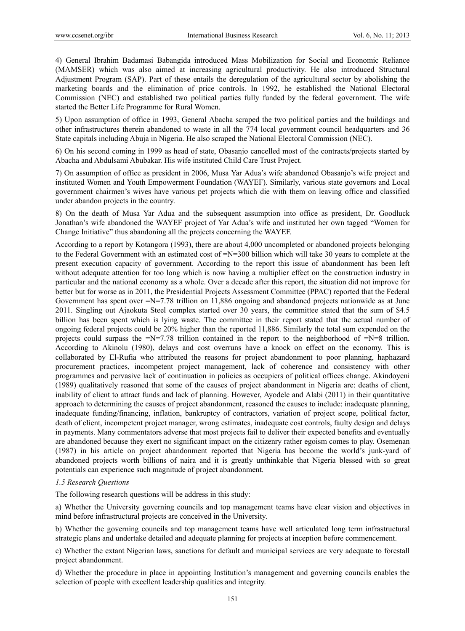4) General Ibrahim Badamasi Babangida introduced Mass Mobilization for Social and Economic Reliance (MAMSER) which was also aimed at increasing agricultural productivity. He also introduced Structural Adjustment Program (SAP). Part of these entails the deregulation of the agricultural sector by abolishing the marketing boards and the elimination of price controls. In 1992, he established the National Electoral Commission (NEC) and established two political parties fully funded by the federal government. The wife started the Better Life Programme for Rural Women.

5) Upon assumption of office in 1993, General Abacha scraped the two political parties and the buildings and other infrastructures therein abandoned to waste in all the 774 local government council headquarters and 36 State capitals including Abuja in Nigeria. He also scraped the National Electoral Commission (NEC).

6) On his second coming in 1999 as head of state, Obasanjo cancelled most of the contracts/projects started by Abacha and Abdulsami Abubakar. His wife instituted Child Care Trust Project.

7) On assumption of office as president in 2006, Musa Yar Adua's wife abandoned Obasanjo's wife project and instituted Women and Youth Empowerment Foundation (WAYEF). Similarly, various state governors and Local government chairmen's wives have various pet projects which die with them on leaving office and classified under abandon projects in the country.

8) On the death of Musa Yar Adua and the subsequent assumption into office as president, Dr. Goodluck Jonathan's wife abandoned the WAYEF project of Yar Adua's wife and instituted her own tagged "Women for Change Initiative" thus abandoning all the projects concerning the WAYEF.

According to a report by Kotangora (1993), there are about 4,000 uncompleted or abandoned projects belonging to the Federal Government with an estimated cost of =N=300 billion which will take 30 years to complete at the present execution capacity of government. According to the report this issue of abandonment has been left without adequate attention for too long which is now having a multiplier effect on the construction industry in particular and the national economy as a whole. Over a decade after this report, the situation did not improve for better but for worse as in 2011, the Presidential Projects Assessment Committee (PPAC) reported that the Federal Government has spent over  $=N=7.78$  trillion on 11,886 ongoing and abandoned projects nationwide as at June 2011. Singling out Ajaokuta Steel complex started over 30 years, the committee stated that the sum of \$4.5 billion has been spent which is lying waste. The committee in their report stated that the actual number of ongoing federal projects could be 20% higher than the reported 11,886. Similarly the total sum expended on the projects could surpass the  $=N=7.78$  trillion contained in the report to the neighborhood of  $=N=8$  trillion. According to Akinolu (1980), delays and cost overruns have a knock on effect on the economy. This is collaborated by El-Rufia who attributed the reasons for project abandonment to poor planning, haphazard procurement practices, incompetent project management, lack of coherence and consistency with other programmes and pervasive lack of continuation in policies as occupiers of political offices change. Akindoyeni (1989) qualitatively reasoned that some of the causes of project abandonment in Nigeria are: deaths of client, inability of client to attract funds and lack of planning. However, Ayodele and Alabi (2011) in their quantitative approach to determining the causes of project abandonment, reasoned the causes to include: inadequate planning, inadequate funding/financing, inflation, bankruptcy of contractors, variation of project scope, political factor, death of client, incompetent project manager, wrong estimates, inadequate cost controls, faulty design and delays in payments. Many commentators adverse that most projects fail to deliver their expected benefits and eventually are abandoned because they exert no significant impact on the citizenry rather egoism comes to play. Osemenan (1987) in his article on project abandonment reported that Nigeria has become the world's junk-yard of abandoned projects worth billions of naira and it is greatly unthinkable that Nigeria blessed with so great potentials can experience such magnitude of project abandonment.

# *1.5 Research Questions*

The following research questions will be address in this study:

a) Whether the University governing councils and top management teams have clear vision and objectives in mind before infrastructural projects are conceived in the University.

b) Whether the governing councils and top management teams have well articulated long term infrastructural strategic plans and undertake detailed and adequate planning for projects at inception before commencement.

c) Whether the extant Nigerian laws, sanctions for default and municipal services are very adequate to forestall project abandonment.

d) Whether the procedure in place in appointing Institution's management and governing councils enables the selection of people with excellent leadership qualities and integrity.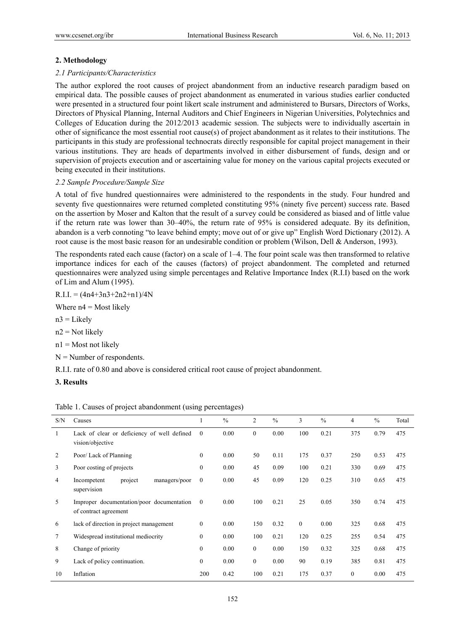## **2. Methodology**

## *2.1 Participants/Characteristics*

The author explored the root causes of project abandonment from an inductive research paradigm based on empirical data. The possible causes of project abandonment as enumerated in various studies earlier conducted were presented in a structured four point likert scale instrument and administered to Bursars, Directors of Works, Directors of Physical Planning, Internal Auditors and Chief Engineers in Nigerian Universities, Polytechnics and Colleges of Education during the 2012/2013 academic session. The subjects were to individually ascertain in other of significance the most essential root cause(s) of project abandonment as it relates to their institutions. The participants in this study are professional technocrats directly responsible for capital project management in their various institutions. They are heads of departments involved in either disbursement of funds, design and or supervision of projects execution and or ascertaining value for money on the various capital projects executed or being executed in their institutions.

## *2.2 Sample Procedure/Sample Size*

A total of five hundred questionnaires were administered to the respondents in the study. Four hundred and seventy five questionnaires were returned completed constituting 95% (ninety five percent) success rate. Based on the assertion by Moser and Kalton that the result of a survey could be considered as biased and of little value if the return rate was lower than 30–40%, the return rate of 95% is considered adequate. By its definition, abandon is a verb connoting "to leave behind empty; move out of or give up" English Word Dictionary (2012). A root cause is the most basic reason for an undesirable condition or problem (Wilson, Dell & Anderson, 1993).

The respondents rated each cause (factor) on a scale of 1–4. The four point scale was then transformed to relative importance indices for each of the causes (factors) of project abandonment. The completed and returned questionnaires were analyzed using simple percentages and Relative Importance Index (R.I.I) based on the work of Lim and Alum (1995).

 $R.I.I. = (4n4+3n3+2n2+n1)/4N$ 

Where  $n4$  = Most likely

 $n3$  = Likely

 $n2$  = Not likely

 $n1 = Most not likely$ 

 $N =$  Number of respondents.

R.I.I. rate of 0.80 and above is considered critical root cause of project abandonment.

**3. Results** 

| S/N | Causes                                                             |                | $\frac{0}{0}$ | $\overline{2}$ | $\frac{0}{0}$ | 3            | $\frac{0}{0}$ | 4        | $\frac{0}{0}$ | Total |
|-----|--------------------------------------------------------------------|----------------|---------------|----------------|---------------|--------------|---------------|----------|---------------|-------|
|     | Lack of clear or deficiency of well defined<br>vision/objective    | $\mathbf{0}$   | 0.00          | $\mathbf{0}$   | 0.00          | 100          | 0.21          | 375      | 0.79          | 475   |
| 2   | Poor/Lack of Planning                                              | $\mathbf{0}$   | 0.00          | 50             | 0.11          | 175          | 0.37          | 250      | 0.53          | 475   |
| 3   | Poor costing of projects                                           | $\theta$       | 0.00          | 45             | 0.09          | 100          | 0.21          | 330      | 0.69          | 475   |
| 4   | project<br>Incompetent<br>managers/poor<br>supervision             | $\mathbf{0}$   | 0.00          | 45             | 0.09          | 120          | 0.25          | 310      | 0.65          | 475   |
| 5   | Improper documentation/poor documentation<br>of contract agreement | $\overline{0}$ | 0.00          | 100            | 0.21          | 25           | 0.05          | 350      | 0.74          | 475   |
| 6   | lack of direction in project management                            | $\mathbf{0}$   | 0.00          | 150            | 0.32          | $\mathbf{0}$ | 0.00          | 325      | 0.68          | 475   |
| 7   | Widespread institutional mediocrity                                | $\mathbf{0}$   | 0.00          | 100            | 0.21          | 120          | 0.25          | 255      | 0.54          | 475   |
| 8   | Change of priority                                                 | $\mathbf{0}$   | 0.00          | $\overline{0}$ | 0.00          | 150          | 0.32          | 325      | 0.68          | 475   |
| 9   | Lack of policy continuation.                                       | $\mathbf{0}$   | 0.00          | $\overline{0}$ | 0.00          | 90           | 0.19          | 385      | 0.81          | 475   |
| 10  | Inflation                                                          | 200            | 0.42          | 100            | 0.21          | 175          | 0.37          | $\theta$ | 0.00          | 475   |

Table 1. Causes of project abandonment (using percentages)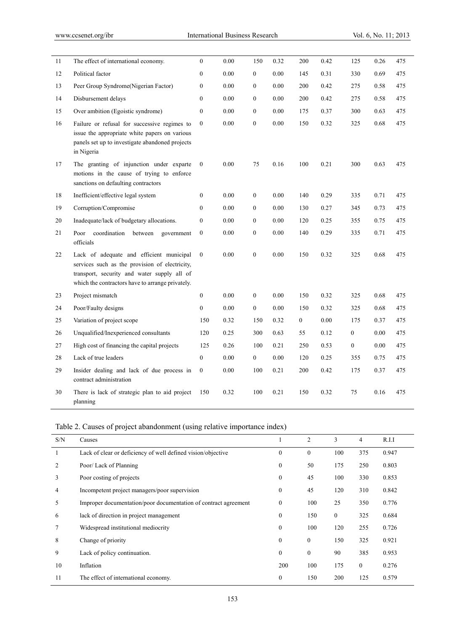| 11     | The effect of international economy.                                                                                                                                                          | $\boldsymbol{0}$ | 0.00     | 150              | 0.32     | 200          | 0.42 | 125              | 0.26     | 475 |
|--------|-----------------------------------------------------------------------------------------------------------------------------------------------------------------------------------------------|------------------|----------|------------------|----------|--------------|------|------------------|----------|-----|
| 12     | Political factor                                                                                                                                                                              | $\boldsymbol{0}$ | 0.00     | $\mathbf{0}$     | 0.00     | 145          | 0.31 | 330              | 0.69     | 475 |
| 13     | Peer Group Syndrome(Nigerian Factor)                                                                                                                                                          | $\mathbf{0}$     | 0.00     | $\mathbf{0}$     | 0.00     | 200          | 0.42 | 275              | 0.58     | 475 |
| 14     | Disbursement delays                                                                                                                                                                           | $\boldsymbol{0}$ | 0.00     | $\mathbf{0}$     | 0.00     | 200          | 0.42 | 275              | 0.58     | 475 |
| 15     | Over ambition (Egoistic syndrome)                                                                                                                                                             | $\mathbf{0}$     | 0.00     | $\mathbf{0}$     | 0.00     | 175          | 0.37 | 300              | 0.63     | 475 |
| 16     | Failure or refusal for successive regimes to<br>issue the appropriate white papers on various<br>panels set up to investigate abandoned projects<br>in Nigeria                                | $\mathbf{0}$     | $0.00\,$ | $\boldsymbol{0}$ | $0.00\,$ | 150          | 0.32 | 325              | 0.68     | 475 |
| 17     | The granting of injunction under exparte<br>motions in the cause of trying to enforce<br>sanctions on defaulting contractors                                                                  | $\mathbf{0}$     | 0.00     | 75               | 0.16     | 100          | 0.21 | 300              | 0.63     | 475 |
| 18     | Inefficient/effective legal system                                                                                                                                                            | 0                | 0.00     | $\mathbf{0}$     | 0.00     | 140          | 0.29 | 335              | 0.71     | 475 |
| 19     | Corruption/Compromise                                                                                                                                                                         | $\mathbf{0}$     | 0.00     | $\mathbf{0}$     | 0.00     | 130          | 0.27 | 345              | 0.73     | 475 |
| 20     | Inadequate/lack of budgetary allocations.                                                                                                                                                     | $\boldsymbol{0}$ | 0.00     | $\mathbf{0}$     | 0.00     | 120          | 0.25 | 355              | 0.75     | 475 |
| 21     | coordination<br>between<br>Poor<br>government<br>officials                                                                                                                                    | $\mathbf{0}$     | 0.00     | $\mathbf{0}$     | 0.00     | 140          | 0.29 | 335              | 0.71     | 475 |
| 22     | Lack of adequate and efficient municipal<br>services such as the provision of electricity,<br>transport, security and water supply all of<br>which the contractors have to arrange privately. | $\mathbf{0}$     | 0.00     | $\boldsymbol{0}$ | 0.00     | 150          | 0.32 | 325              | $0.68\,$ | 475 |
| 23     | Project mismatch                                                                                                                                                                              | $\boldsymbol{0}$ | 0.00     | $\mathbf{0}$     | 0.00     | 150          | 0.32 | 325              | 0.68     | 475 |
| 24     | Poor/Faulty designs                                                                                                                                                                           | $\boldsymbol{0}$ | 0.00     | $\overline{0}$   | 0.00     | 150          | 0.32 | 325              | 0.68     | 475 |
| 25     | Variation of project scope                                                                                                                                                                    | 150              | 0.32     | 150              | 0.32     | $\mathbf{0}$ | 0.00 | 175              | 0.37     | 475 |
| 26     | Unqualified/Inexperienced consultants                                                                                                                                                         | 120              | 0.25     | 300              | 0.63     | 55           | 0.12 | $\boldsymbol{0}$ | 0.00     | 475 |
| 27     | High cost of financing the capital projects                                                                                                                                                   | 125              | 0.26     | 100              | 0.21     | 250          | 0.53 | $\mathbf{0}$     | 0.00     | 475 |
| $28\,$ | Lack of true leaders                                                                                                                                                                          | $\boldsymbol{0}$ | 0.00     | $\overline{0}$   | $0.00\,$ | 120          | 0.25 | 355              | 0.75     | 475 |
| 29     | Insider dealing and lack of due process in<br>contract administration                                                                                                                         | $\boldsymbol{0}$ | 0.00     | 100              | 0.21     | 200          | 0.42 | 175              | 0.37     | 475 |
| 30     | There is lack of strategic plan to aid project<br>planning                                                                                                                                    | 150              | 0.32     | 100              | 0.21     | 150          | 0.32 | 75               | 0.16     | 475 |

| Table 2. Causes of project abandonment (using relative importance index) |  |  |  |
|--------------------------------------------------------------------------|--|--|--|
|--------------------------------------------------------------------------|--|--|--|

| S/N | Causes                                                          |              | $\overline{2}$ | 3              | 4              | R.I.I |
|-----|-----------------------------------------------------------------|--------------|----------------|----------------|----------------|-------|
|     | Lack of clear or deficiency of well defined vision/objective    | $\mathbf{0}$ | $\theta$       | 100            | 375            | 0.947 |
|     | Poor/Lack of Planning                                           | $\mathbf{0}$ | 50             | 175            | 250            | 0.803 |
| 3   | Poor costing of projects                                        | $\mathbf{0}$ | 45             | 100            | 330            | 0.853 |
| 4   | Incompetent project managers/poor supervision                   | $\mathbf{0}$ | 45             | 120            | 310            | 0.842 |
| 5   | Improper documentation/poor documentation of contract agreement | $\mathbf{0}$ | 100            | 25             | 350            | 0.776 |
| 6   | lack of direction in project management                         | $\mathbf{0}$ | 150            | $\overline{0}$ | 325            | 0.684 |
|     | Widespread institutional mediocrity                             | $\mathbf{0}$ | 100            | 120            | 255            | 0.726 |
| 8   | Change of priority                                              | $\mathbf{0}$ | $\mathbf{0}$   | 150            | 325            | 0.921 |
| 9   | Lack of policy continuation.                                    | $\mathbf{0}$ | $\mathbf{0}$   | 90             | 385            | 0.953 |
| 10  | Inflation                                                       | 200          | 100            | 175            | $\overline{0}$ | 0.276 |
| 11  | The effect of international economy.                            | $\mathbf{0}$ | 150            | 200            | 125            | 0.579 |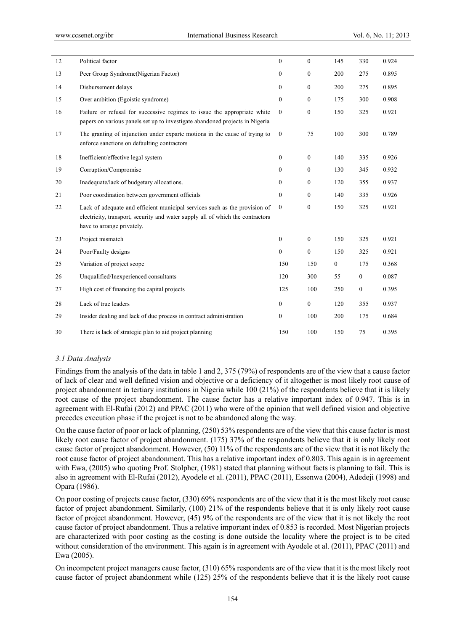| 12 | Political factor                                                                                                                                                                           | $\theta$         | $\mathbf{0}$     | 145              | 330              | 0.924 |
|----|--------------------------------------------------------------------------------------------------------------------------------------------------------------------------------------------|------------------|------------------|------------------|------------------|-------|
| 13 | Peer Group Syndrome(Nigerian Factor)                                                                                                                                                       | $\mathbf{0}$     | $\boldsymbol{0}$ | 200              | 275              | 0.895 |
| 14 | Disbursement delays                                                                                                                                                                        | $\mathbf{0}$     | $\mathbf{0}$     | 200              | 275              | 0.895 |
| 15 | Over ambition (Egoistic syndrome)                                                                                                                                                          | $\mathbf{0}$     | $\mathbf{0}$     | 175              | 300              | 0.908 |
| 16 | Failure or refusal for successive regimes to issue the appropriate white<br>papers on various panels set up to investigate abandoned projects in Nigeria                                   | $\mathbf{0}$     | $\overline{0}$   | 150              | 325              | 0.921 |
| 17 | The granting of injunction under exparte motions in the cause of trying to<br>enforce sanctions on defaulting contractors                                                                  | $\mathbf{0}$     | 75               | 100              | 300              | 0.789 |
| 18 | Inefficient/effective legal system                                                                                                                                                         | $\mathbf{0}$     | $\mathbf{0}$     | 140              | 335              | 0.926 |
| 19 | Corruption/Compromise                                                                                                                                                                      | $\mathbf{0}$     | $\boldsymbol{0}$ | 130              | 345              | 0.932 |
| 20 | Inadequate/lack of budgetary allocations.                                                                                                                                                  | $\mathbf{0}$     | $\mathbf{0}$     | 120              | 355              | 0.937 |
| 21 | Poor coordination between government officials                                                                                                                                             | $\mathbf{0}$     | $\mathbf{0}$     | 140              | 335              | 0.926 |
| 22 | Lack of adequate and efficient municipal services such as the provision of<br>electricity, transport, security and water supply all of which the contractors<br>have to arrange privately. | $\boldsymbol{0}$ | $\boldsymbol{0}$ | 150              | 325              | 0.921 |
| 23 | Project mismatch                                                                                                                                                                           | $\boldsymbol{0}$ | $\boldsymbol{0}$ | 150              | 325              | 0.921 |
| 24 | Poor/Faulty designs                                                                                                                                                                        | $\mathbf{0}$     | $\boldsymbol{0}$ | 150              | 325              | 0.921 |
| 25 | Variation of project scope                                                                                                                                                                 | 150              | 150              | $\boldsymbol{0}$ | 175              | 0.368 |
| 26 | Unqualified/Inexperienced consultants                                                                                                                                                      | 120              | 300              | 55               | $\boldsymbol{0}$ | 0.087 |
| 27 | High cost of financing the capital projects                                                                                                                                                | 125              | 100              | 250              | $\boldsymbol{0}$ | 0.395 |
| 28 | Lack of true leaders                                                                                                                                                                       | $\mathbf{0}$     | $\boldsymbol{0}$ | 120              | 355              | 0.937 |
| 29 | Insider dealing and lack of due process in contract administration                                                                                                                         | $\boldsymbol{0}$ | 100              | 200              | 175              | 0.684 |
| 30 | There is lack of strategic plan to aid project planning                                                                                                                                    | 150              | 100              | 150              | 75               | 0.395 |

## *3.1 Data Analysis*

Findings from the analysis of the data in table 1 and 2, 375 (79%) of respondents are of the view that a cause factor of lack of clear and well defined vision and objective or a deficiency of it altogether is most likely root cause of project abandonment in tertiary institutions in Nigeria while 100 (21%) of the respondents believe that it is likely root cause of the project abandonment. The cause factor has a relative important index of 0.947. This is in agreement with El-Rufai (2012) and PPAC (2011) who were of the opinion that well defined vision and objective precedes execution phase if the project is not to be abandoned along the way.

On the cause factor of poor or lack of planning, (250) 53% respondents are of the view that this cause factor is most likely root cause factor of project abandonment. (175) 37% of the respondents believe that it is only likely root cause factor of project abandonment. However, (50) 11% of the respondents are of the view that it is not likely the root cause factor of project abandonment. This has a relative important index of 0.803. This again is in agreement with Ewa, (2005) who quoting Prof. Stolpher, (1981) stated that planning without facts is planning to fail. This is also in agreement with El-Rufai (2012), Ayodele et al. (2011), PPAC (2011), Essenwa (2004), Adedeji (1998) and Opara (1986).

On poor costing of projects cause factor, (330) 69% respondents are of the view that it is the most likely root cause factor of project abandonment. Similarly, (100) 21% of the respondents believe that it is only likely root cause factor of project abandonment. However, (45) 9% of the respondents are of the view that it is not likely the root cause factor of project abandonment. Thus a relative important index of 0.853 is recorded. Most Nigerian projects are characterized with poor costing as the costing is done outside the locality where the project is to be cited without consideration of the environment. This again is in agreement with Ayodele et al. (2011), PPAC (2011) and Ewa (2005).

On incompetent project managers cause factor, (310) 65% respondents are of the view that it is the most likely root cause factor of project abandonment while (125) 25% of the respondents believe that it is the likely root cause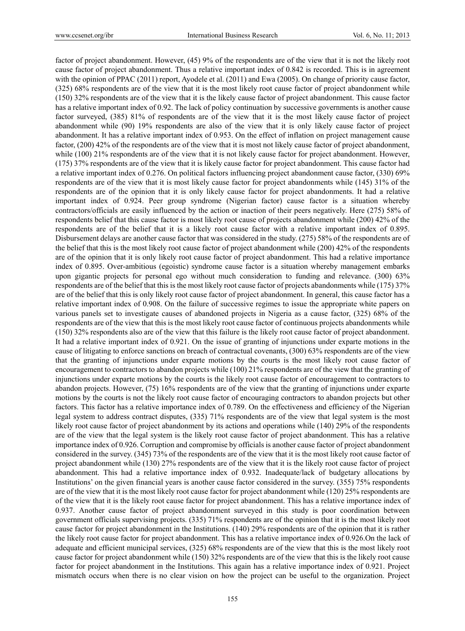factor of project abandonment. However, (45) 9% of the respondents are of the view that it is not the likely root cause factor of project abandonment. Thus a relative important index of 0.842 is recorded. This is in agreement with the opinion of PPAC (2011) report, Ayodele et al. (2011) and Ewa (2005). On change of priority cause factor, (325) 68% respondents are of the view that it is the most likely root cause factor of project abandonment while (150) 32% respondents are of the view that it is the likely cause factor of project abandonment. This cause factor has a relative important index of 0.92. The lack of policy continuation by successive governments is another cause factor surveyed, (385) 81% of respondents are of the view that it is the most likely cause factor of project abandonment while (90) 19% respondents are also of the view that it is only likely cause factor of project abandonment. It has a relative important index of 0.953. On the effect of inflation on project management cause factor, (200) 42% of the respondents are of the view that it is most not likely cause factor of project abandonment, while (100) 21% respondents are of the view that it is not likely cause factor for project abandonment. However, (175) 37% respondents are of the view that it is likely cause factor for project abandonment. This cause factor had a relative important index of 0.276. On political factors influencing project abandonment cause factor, (330) 69% respondents are of the view that it is most likely cause factor for project abandonments while (145) 31% of the respondents are of the opinion that it is only likely cause factor for project abandonments. It had a relative important index of 0.924. Peer group syndrome (Nigerian factor) cause factor is a situation whereby contractors/officials are easily influenced by the action or inaction of their peers negatively. Here (275) 58% of respondents belief that this cause factor is most likely root cause of projects abandonment while (200) 42% of the respondents are of the belief that it is a likely root cause factor with a relative important index of 0.895. Disbursement delays are another cause factor that was considered in the study. (275) 58% of the respondents are of the belief that this is the most likely root cause factor of project abandonment while (200) 42% of the respondents are of the opinion that it is only likely root cause factor of project abandonment. This had a relative importance index of 0.895. Over-ambitious (egoistic) syndrome cause factor is a situation whereby management embarks upon gigantic projects for personal ego without much consideration to funding and relevance. (300) 63% respondents are of the belief that this is the most likely root cause factor of projects abandonments while (175) 37% are of the belief that this is only likely root cause factor of project abandonment. In general, this cause factor has a relative important index of 0.908. On the failure of successive regimes to issue the appropriate white papers on various panels set to investigate causes of abandoned projects in Nigeria as a cause factor, (325) 68% of the respondents are of the view that this is the most likely root cause factor of continuous projects abandonments while (150) 32% respondents also are of the view that this failure is the likely root cause factor of project abandonment. It had a relative important index of 0.921. On the issue of granting of injunctions under exparte motions in the cause of litigating to enforce sanctions on breach of contractual covenants, (300) 63% respondents are of the view that the granting of injunctions under exparte motions by the courts is the most likely root cause factor of encouragement to contractors to abandon projects while (100) 21% respondents are of the view that the granting of injunctions under exparte motions by the courts is the likely root cause factor of encouragement to contractors to abandon projects. However, (75) 16% respondents are of the view that the granting of injunctions under exparte motions by the courts is not the likely root cause factor of encouraging contractors to abandon projects but other factors. This factor has a relative importance index of 0.789. On the effectiveness and efficiency of the Nigerian legal system to address contract disputes, (335) 71% respondents are of the view that legal system is the most likely root cause factor of project abandonment by its actions and operations while (140) 29% of the respondents are of the view that the legal system is the likely root cause factor of project abandonment. This has a relative importance index of 0.926. Corruption and compromise by officials is another cause factor of project abandonment considered in the survey. (345) 73% of the respondents are of the view that it is the most likely root cause factor of project abandonment while (130) 27% respondents are of the view that it is the likely root cause factor of project abandonment. This had a relative importance index of 0.932. Inadequate/lack of budgetary allocations by Institutions' on the given financial years is another cause factor considered in the survey. (355) 75% respondents are of the view that it is the most likely root cause factor for project abandonment while (120) 25% respondents are of the view that it is the likely root cause factor for project abandonment. This has a relative importance index of 0.937. Another cause factor of project abandonment surveyed in this study is poor coordination between government officials supervising projects. (335) 71% respondents are of the opinion that it is the most likely root cause factor for project abandonment in the Institutions. (140) 29% respondents are of the opinion that it is rather the likely root cause factor for project abandonment. This has a relative importance index of 0.926.On the lack of adequate and efficient municipal services, (325) 68% respondents are of the view that this is the most likely root cause factor for project abandonment while (150) 32% respondents are of the view that this is the likely root cause factor for project abandonment in the Institutions. This again has a relative importance index of 0.921. Project mismatch occurs when there is no clear vision on how the project can be useful to the organization. Project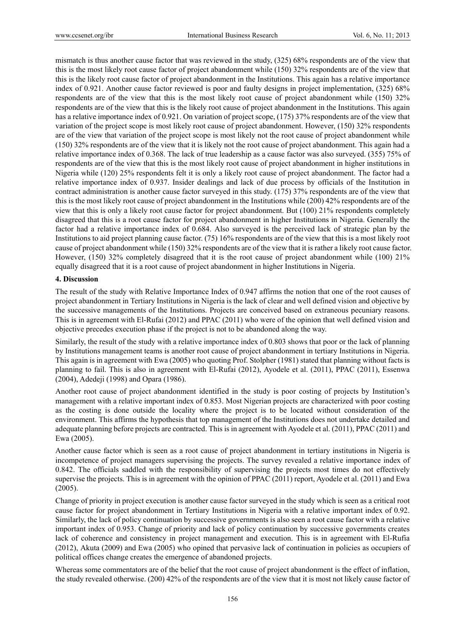mismatch is thus another cause factor that was reviewed in the study, (325) 68% respondents are of the view that this is the most likely root cause factor of project abandonment while (150) 32% respondents are of the view that this is the likely root cause factor of project abandonment in the Institutions. This again has a relative importance index of 0.921. Another cause factor reviewed is poor and faulty designs in project implementation, (325) 68% respondents are of the view that this is the most likely root cause of project abandonment while (150) 32% respondents are of the view that this is the likely root cause of project abandonment in the Institutions. This again has a relative importance index of 0.921. On variation of project scope, (175) 37% respondents are of the view that variation of the project scope is most likely root cause of project abandonment. However, (150) 32% respondents are of the view that variation of the project scope is most likely not the root cause of project abandonment while (150) 32% respondents are of the view that it is likely not the root cause of project abandonment. This again had a relative importance index of 0.368. The lack of true leadership as a cause factor was also surveyed. (355) 75% of respondents are of the view that this is the most likely root cause of project abandonment in higher institutions in Nigeria while (120) 25% respondents felt it is only a likely root cause of project abandonment. The factor had a relative importance index of 0.937. Insider dealings and lack of due process by officials of the Institution in contract administration is another cause factor surveyed in this study. (175) 37% respondents are of the view that this is the most likely root cause of project abandonment in the Institutions while (200) 42% respondents are of the view that this is only a likely root cause factor for project abandonment. But (100) 21% respondents completely disagreed that this is a root cause factor for project abandonment in higher Institutions in Nigeria. Generally the factor had a relative importance index of 0.684. Also surveyed is the perceived lack of strategic plan by the Institutions to aid project planning cause factor. (75) 16% respondents are of the view that this is a most likely root cause of project abandonment while (150) 32% respondents are of the view that it is rather a likely root cause factor. However, (150) 32% completely disagreed that it is the root cause of project abandonment while (100) 21% equally disagreed that it is a root cause of project abandonment in higher Institutions in Nigeria.

## **4. Discussion**

The result of the study with Relative Importance Index of 0.947 affirms the notion that one of the root causes of project abandonment in Tertiary Institutions in Nigeria is the lack of clear and well defined vision and objective by the successive managements of the Institutions. Projects are conceived based on extraneous pecuniary reasons. This is in agreement with El-Rufai (2012) and PPAC (2011) who were of the opinion that well defined vision and objective precedes execution phase if the project is not to be abandoned along the way.

Similarly, the result of the study with a relative importance index of 0.803 shows that poor or the lack of planning by Institutions management teams is another root cause of project abandonment in tertiary Institutions in Nigeria. This again is in agreement with Ewa (2005) who quoting Prof. Stolpher (1981) stated that planning without facts is planning to fail. This is also in agreement with El-Rufai (2012), Ayodele et al. (2011), PPAC (2011), Essenwa (2004), Adedeji (1998) and Opara (1986).

Another root cause of project abandonment identified in the study is poor costing of projects by Institution's management with a relative important index of 0.853. Most Nigerian projects are characterized with poor costing as the costing is done outside the locality where the project is to be located without consideration of the environment. This affirms the hypothesis that top management of the Institutions does not undertake detailed and adequate planning before projects are contracted. This is in agreement with Ayodele et al. (2011), PPAC (2011) and Ewa (2005).

Another cause factor which is seen as a root cause of project abandonment in tertiary institutions in Nigeria is incompetence of project managers supervising the projects. The survey revealed a relative importance index of 0.842. The officials saddled with the responsibility of supervising the projects most times do not effectively supervise the projects. This is in agreement with the opinion of PPAC (2011) report, Ayodele et al. (2011) and Ewa (2005).

Change of priority in project execution is another cause factor surveyed in the study which is seen as a critical root cause factor for project abandonment in Tertiary Institutions in Nigeria with a relative important index of 0.92. Similarly, the lack of policy continuation by successive governments is also seen a root cause factor with a relative important index of 0.953. Change of priority and lack of policy continuation by successive governments creates lack of coherence and consistency in project management and execution. This is in agreement with El-Rufia (2012), Akuta (2009) and Ewa (2005) who opined that pervasive lack of continuation in policies as occupiers of political offices change creates the emergence of abandoned projects.

Whereas some commentators are of the belief that the root cause of project abandonment is the effect of inflation, the study revealed otherwise. (200) 42% of the respondents are of the view that it is most not likely cause factor of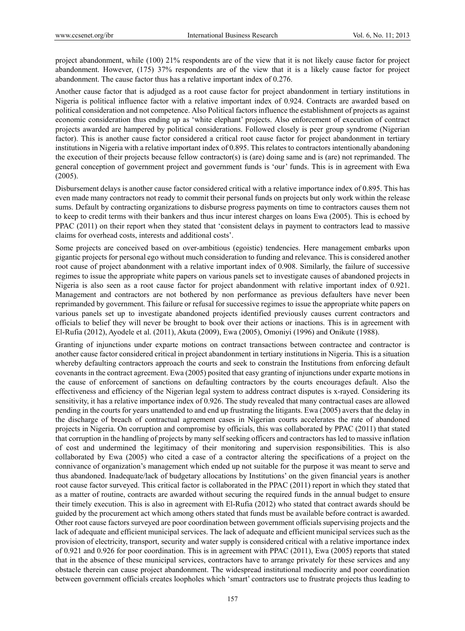project abandonment, while (100) 21% respondents are of the view that it is not likely cause factor for project abandonment. However, (175) 37% respondents are of the view that it is a likely cause factor for project abandonment. The cause factor thus has a relative important index of 0.276.

Another cause factor that is adjudged as a root cause factor for project abandonment in tertiary institutions in Nigeria is political influence factor with a relative important index of 0.924. Contracts are awarded based on political consideration and not competence. Also Political factors influence the establishment of projects as against economic consideration thus ending up as 'white elephant' projects. Also enforcement of execution of contract projects awarded are hampered by political considerations. Followed closely is peer group syndrome (Nigerian factor). This is another cause factor considered a critical root cause factor for project abandonment in tertiary institutions in Nigeria with a relative important index of 0.895. This relates to contractors intentionally abandoning the execution of their projects because fellow contractor(s) is (are) doing same and is (are) not reprimanded. The general conception of government project and government funds is 'our' funds. This is in agreement with Ewa (2005).

Disbursement delays is another cause factor considered critical with a relative importance index of 0.895. This has even made many contractors not ready to commit their personal funds on projects but only work within the release sums. Default by contracting organizations to disburse progress payments on time to contractors causes them not to keep to credit terms with their bankers and thus incur interest charges on loans Ewa (2005). This is echoed by PPAC (2011) on their report when they stated that 'consistent delays in payment to contractors lead to massive claims for overhead costs, interests and additional costs'.

Some projects are conceived based on over-ambitious (egoistic) tendencies. Here management embarks upon gigantic projects for personal ego without much consideration to funding and relevance. This is considered another root cause of project abandonment with a relative important index of 0.908. Similarly, the failure of successive regimes to issue the appropriate white papers on various panels set to investigate causes of abandoned projects in Nigeria is also seen as a root cause factor for project abandonment with relative important index of 0.921. Management and contractors are not bothered by non performance as previous defaulters have never been reprimanded by government. This failure or refusal for successive regimes to issue the appropriate white papers on various panels set up to investigate abandoned projects identified previously causes current contractors and officials to belief they will never be brought to book over their actions or inactions. This is in agreement with El-Rufia (2012), Ayodele et al. (2011), Akuta (2009), Ewa (2005), Omoniyi (1996) and Onikute (1988).

Granting of injunctions under exparte motions on contract transactions between contractee and contractor is another cause factor considered critical in project abandonment in tertiary institutions in Nigeria. This is a situation whereby defaulting contractors approach the courts and seek to constrain the Institutions from enforcing default covenants in the contract agreement. Ewa (2005) posited that easy granting of injunctions under exparte motions in the cause of enforcement of sanctions on defaulting contractors by the courts encourages default. Also the effectiveness and efficiency of the Nigerian legal system to address contract disputes is x-rayed. Considering its sensitivity, it has a relative importance index of 0.926. The study revealed that many contractual cases are allowed pending in the courts for years unattended to and end up frustrating the litigants. Ewa (2005) avers that the delay in the discharge of breach of contractual agreement cases in Nigerian courts accelerates the rate of abandoned projects in Nigeria. On corruption and compromise by officials, this was collaborated by PPAC (2011) that stated that corruption in the handling of projects by many self seeking officers and contractors has led to massive inflation of cost and undermined the legitimacy of their monitoring and supervision responsibilities. This is also collaborated by Ewa (2005) who cited a case of a contractor altering the specifications of a project on the connivance of organization's management which ended up not suitable for the purpose it was meant to serve and thus abandoned. Inadequate/lack of budgetary allocations by Institutions' on the given financial years is another root cause factor surveyed. This critical factor is collaborated in the PPAC (2011) report in which they stated that as a matter of routine, contracts are awarded without securing the required funds in the annual budget to ensure their timely execution. This is also in agreement with El-Rufia (2012) who stated that contract awards should be guided by the procurement act which among others stated that funds must be available before contract is awarded. Other root cause factors surveyed are poor coordination between government officials supervising projects and the lack of adequate and efficient municipal services. The lack of adequate and efficient municipal services such as the provision of electricity, transport, security and water supply is considered critical with a relative importance index of 0.921 and 0.926 for poor coordination. This is in agreement with PPAC (2011), Ewa (2005) reports that stated that in the absence of these municipal services, contractors have to arrange privately for these services and any obstacle therein can cause project abandonment. The widespread institutional mediocrity and poor coordination between government officials creates loopholes which 'smart' contractors use to frustrate projects thus leading to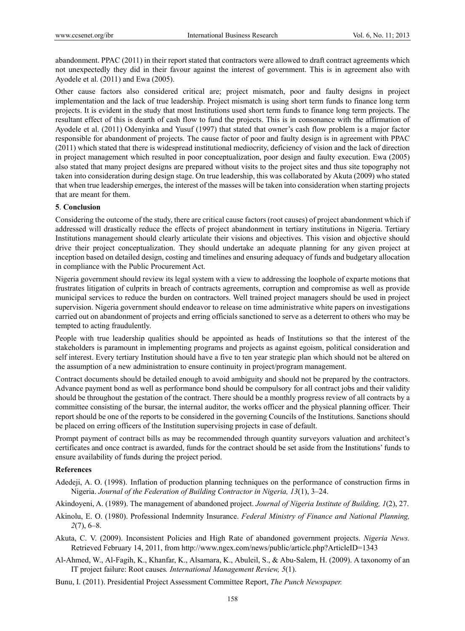abandonment. PPAC (2011) in their report stated that contractors were allowed to draft contract agreements which not unexpectedly they did in their favour against the interest of government. This is in agreement also with Ayodele et al. (2011) and Ewa (2005).

Other cause factors also considered critical are; project mismatch, poor and faulty designs in project implementation and the lack of true leadership. Project mismatch is using short term funds to finance long term projects. It is evident in the study that most Institutions used short term funds to finance long term projects. The resultant effect of this is dearth of cash flow to fund the projects. This is in consonance with the affirmation of Ayodele et al. (2011) Odenyinka and Yusuf (1997) that stated that owner's cash flow problem is a major factor responsible for abandonment of projects. The cause factor of poor and faulty design is in agreement with PPAC (2011) which stated that there is widespread institutional mediocrity, deficiency of vision and the lack of direction in project management which resulted in poor conceptualization, poor design and faulty execution. Ewa (2005) also stated that many project designs are prepared without visits to the project sites and thus site topography not taken into consideration during design stage. On true leadership, this was collaborated by Akuta (2009) who stated that when true leadership emerges, the interest of the masses will be taken into consideration when starting projects that are meant for them.

## **5**. **Conclusion**

Considering the outcome of the study, there are critical cause factors (root causes) of project abandonment which if addressed will drastically reduce the effects of project abandonment in tertiary institutions in Nigeria. Tertiary Institutions management should clearly articulate their visions and objectives. This vision and objective should drive their project conceptualization. They should undertake an adequate planning for any given project at inception based on detailed design, costing and timelines and ensuring adequacy of funds and budgetary allocation in compliance with the Public Procurement Act.

Nigeria government should review its legal system with a view to addressing the loophole of exparte motions that frustrates litigation of culprits in breach of contracts agreements, corruption and compromise as well as provide municipal services to reduce the burden on contractors. Well trained project managers should be used in project supervision. Nigeria government should endeavor to release on time administrative white papers on investigations carried out on abandonment of projects and erring officials sanctioned to serve as a deterrent to others who may be tempted to acting fraudulently.

People with true leadership qualities should be appointed as heads of Institutions so that the interest of the stakeholders is paramount in implementing programs and projects as against egoism, political consideration and self interest. Every tertiary Institution should have a five to ten year strategic plan which should not be altered on the assumption of a new administration to ensure continuity in project/program management.

Contract documents should be detailed enough to avoid ambiguity and should not be prepared by the contractors. Advance payment bond as well as performance bond should be compulsory for all contract jobs and their validity should be throughout the gestation of the contract. There should be a monthly progress review of all contracts by a committee consisting of the bursar, the internal auditor, the works officer and the physical planning officer. Their report should be one of the reports to be considered in the governing Councils of the Institutions. Sanctions should be placed on erring officers of the Institution supervising projects in case of default.

Prompt payment of contract bills as may be recommended through quantity surveyors valuation and architect's certificates and once contract is awarded, funds for the contract should be set aside from the Institutions' funds to ensure availability of funds during the project period.

## **References**

Adedeji, A. O. (1998). Inflation of production planning techniques on the performance of construction firms in Nigeria. *Journal of the Federation of Building Contractor in Nigeria, 13*(1), 3–24.

Akindoyeni, A. (1989). The management of abandoned project. *Journal of Nigeria Institute of Building, 1*(2), 27.

Akinolu, E. O. (1980). Professional Indemnity Insurance. *Federal Ministry of Finance and National Planning, 2*(7), 6–8.

- Akuta, C. V. (2009). Inconsistent Policies and High Rate of abandoned government projects. *Nigeria News.*  Retrieved February 14, 2011, from http://www.ngex.com/news/public/article.php?ArticleID=1343
- Al-Ahmed, W., Al-Fagih, K., Khanfar, K., Alsamara, K., Abuleil, S., & Abu-Salem, H. (2009). A taxonomy of an IT project failure: Root causes*. International Management Review, 5*(1).

Bunu, I. (2011). Presidential Project Assessment Committee Report, *The Punch Newspaper.*